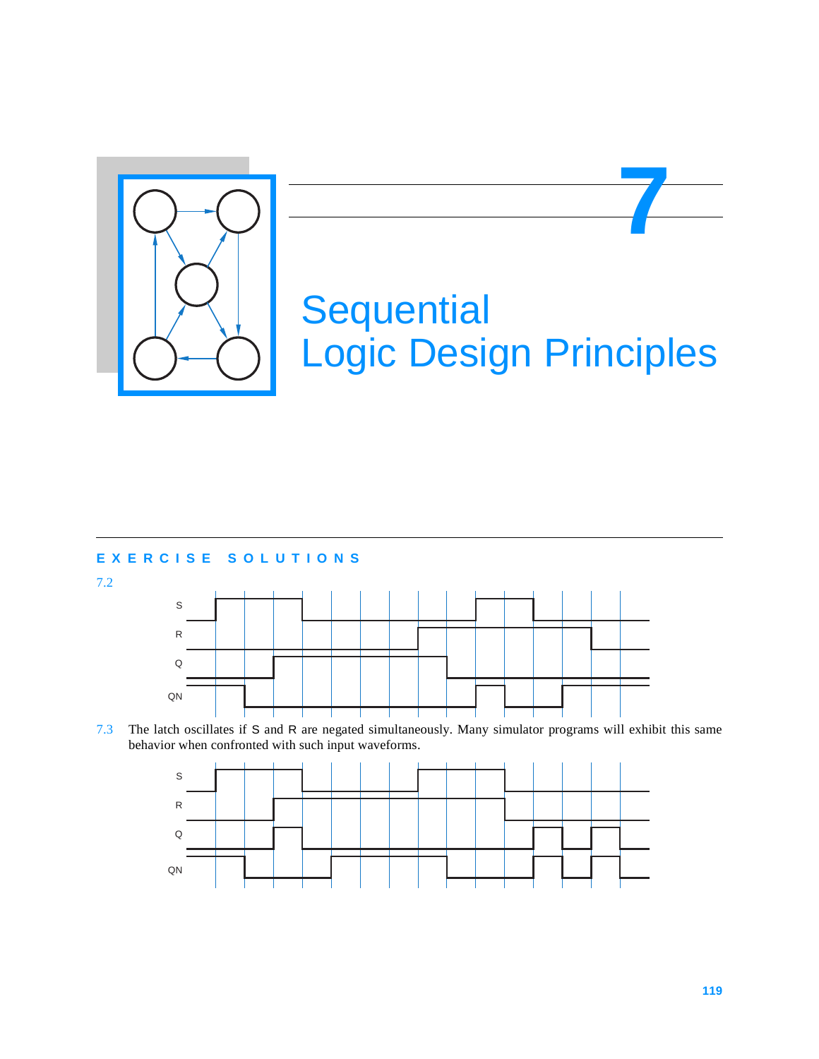

# **Sequential** Logic Design Principles

**7**

## **EXERCISE SOLUTIONS**

7.2



7.3 The latch oscillates if S and R are negated simultaneously. Many simulator programs will exhibit this same behavior when confronted with such input waveforms.

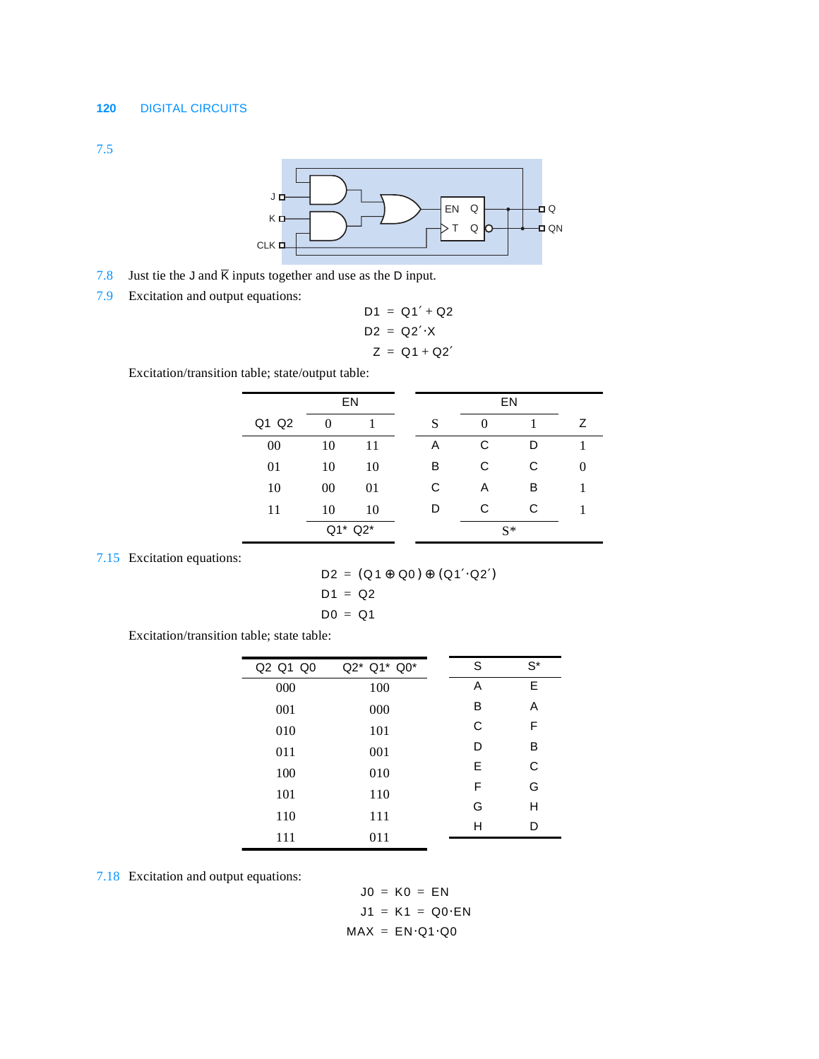7.5



- 7.8 Just tie the J and  $\overline{K}$  inputs together and use as the D input.
- 7.9 Excitation and output equations:

$$
D1 = Q1' + Q2
$$

$$
D2 = Q2' \cdot X
$$

$$
Z = Q1 + Q2'
$$

Excitation/transition table; state/output table:

|       | EN      |    |  |   | EN |       |   |
|-------|---------|----|--|---|----|-------|---|
| Q1 Q2 | 0       |    |  | S |    |       | Ζ |
| 00    | 10      | 11 |  | Α | С  | D     |   |
| 01    | 10      | 10 |  | В | С  | С     |   |
| 10    | 00      | 01 |  | С | Α  | в     |   |
| 11    | 10      | 10 |  | D | С  | С     |   |
|       | Q1* Q2* |    |  |   |    | $S^*$ |   |

7.15 Excitation equations:

$$
D2 = (Q1 \oplus Q0) \oplus (Q1'\cdot Q2')
$$
  

$$
D1 = Q2
$$
  

$$
D0 = Q1
$$

Excitation/transition table; state table:

| Q2 Q1 Q0 | Q2* Q1* Q0* | S | $S^*$ |
|----------|-------------|---|-------|
| 000      | 100         | Α | Е     |
| 001      | 000         | В | Α     |
| 010      | 101         | C | F     |
| 011      | 001         | D | в     |
| 100      | 010         | Е | C     |
| 101      | 110         | F | G     |
|          |             | G | н     |
| 110      | 111         | н | D     |
| 111      | 011         |   |       |

7.18 Excitation and output equations:

$$
J0 = K0 = EN
$$
  

$$
J1 = K1 = Q0 \cdot EN
$$
  

$$
MAX = EN \cdot Q1 \cdot Q0
$$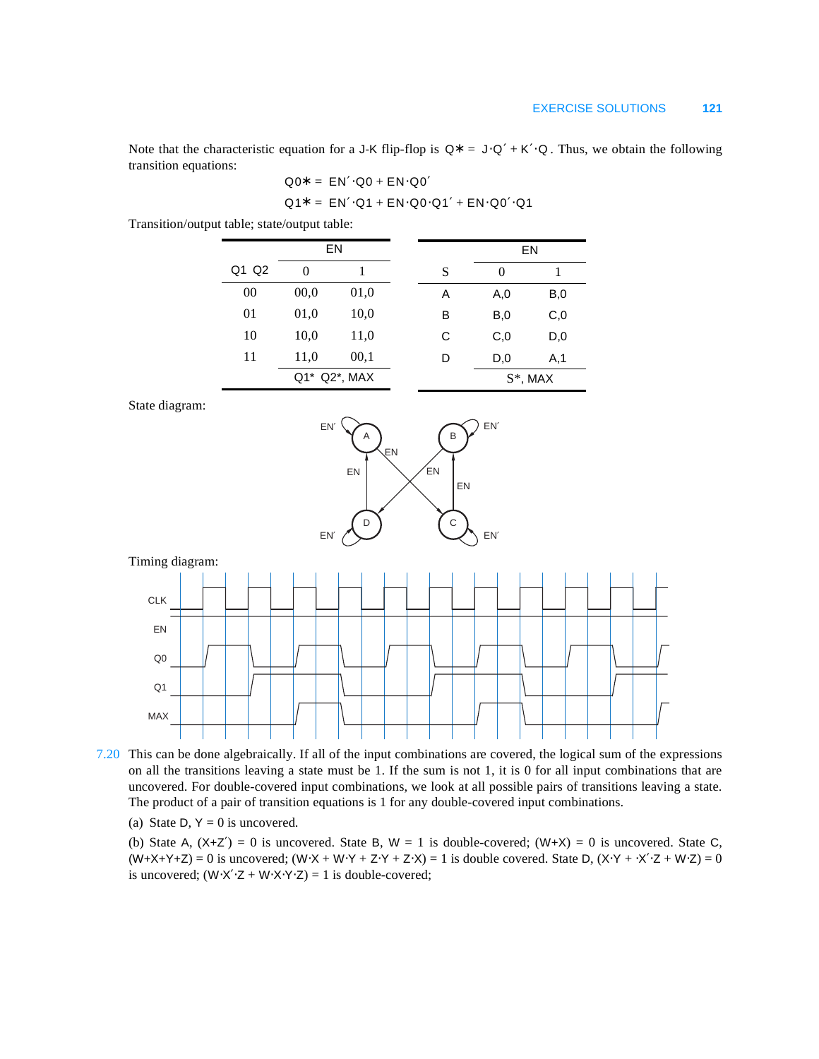Note that the characteristic equation for a J-K flip-flop is  $Q^* = J \cdot Q' + K' \cdot Q$ . Thus, we obtain the following transition equations:

$$
Q0^* = EN' \cdot Q0 + EN \cdot Q0'
$$

$$
Q1* = EN' \cdot Q1 + EN \cdot Q0 \cdot Q1' + EN \cdot Q0' \cdot Q1
$$

Transition/output table; state/output table:

| EN    |          |              |   |                | EN          |
|-------|----------|--------------|---|----------------|-------------|
| Q1 Q2 | $\theta$ |              | S | 0              |             |
| 00    | 00,0     | 01,0         | Α | A,0            | B,0         |
| 01    | 01,0     | 10,0         | в | B,0            | C,0         |
| 10    | 10,0     | 11,0         | С | C <sub>0</sub> | D,0         |
| 11    | 11,0     | 00,1         | D | D,0            | A, 1        |
|       |          | Q1* Q2*, MAX |   |                | $S^*$ , MAX |

State diagram:



Timing diagram:



7.20 This can be done algebraically. If all of the input combinations are covered, the logical sum of the expressions on all the transitions leaving a state must be 1. If the sum is not 1, it is 0 for all input combinations that are uncovered. For double-covered input combinations, we look at all possible pairs of transitions leaving a state. The product of a pair of transition equations is 1 for any double-covered input combinations.

(a) State D,  $Y = 0$  is uncovered.

(b) State A,  $(X+Z') = 0$  is uncovered. State B,  $W = 1$  is double-covered;  $(W+X) = 0$  is uncovered. State C,  $(W+X+Y+Z) = 0$  is uncovered;  $(W+X+W+Y+Z+Y+Z+X) = 1$  is double covered. State D,  $(X+Y+Z+W+Z) = 0$ is uncovered;  $(W·X'·Z + W·X·Y·Z) = 1$  is double-covered;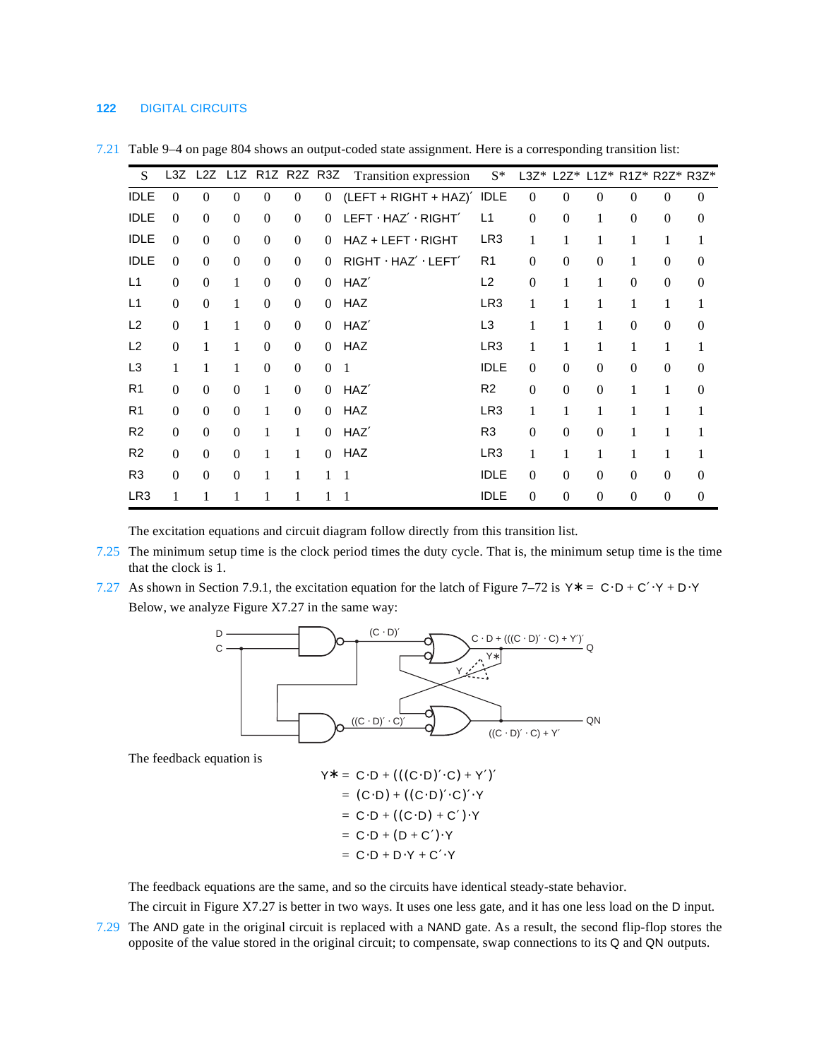### **122** DIGITAL CIRCUITS

| S.              | L3Z              |                  |                  | L2Z L1Z R1Z R2Z R3Z |                  |                | Transition expression    | $S^*$           | $L3Z^*$          | $L2Z^*$          |                  |                  |                  | L1Z* R1Z* R2Z* R3Z* |
|-----------------|------------------|------------------|------------------|---------------------|------------------|----------------|--------------------------|-----------------|------------------|------------------|------------------|------------------|------------------|---------------------|
| <b>IDLE</b>     | $\theta$         | $\overline{0}$   | $\overline{0}$   | $\overline{0}$      | $\overline{0}$   | $\overline{0}$ | $(LEFT + RIGHT + HAZ)'$  | <b>IDLE</b>     | $\overline{0}$   | $\overline{0}$   | $\theta$         | $\theta$         | $\mathbf{0}$     | $\overline{0}$      |
| <b>IDLE</b>     | $\Omega$         | $\overline{0}$   | $\overline{0}$   | $\mathbf{0}$        | $\boldsymbol{0}$ | $\Omega$       | LEFT · HAZ' · RIGHT'     | L1              | $\boldsymbol{0}$ | $\boldsymbol{0}$ | 1                | $\boldsymbol{0}$ | $\mathbf{0}$     | $\overline{0}$      |
| <b>IDLE</b>     | $\Omega$         | $\Omega$         | $\boldsymbol{0}$ | $\boldsymbol{0}$    | $\Omega$         | $\Omega$       | $HAZ + LEFT \cdot RIGHT$ | LR <sub>3</sub> | 1                | 1                | 1                | 1                | 1                | 1                   |
| <b>IDLE</b>     | $\theta$         | $\Omega$         | $\overline{0}$   | $\boldsymbol{0}$    | $\boldsymbol{0}$ | $\Omega$       | RIGHT · HAZ' · LEFT'     | R <sub>1</sub>  | $\Omega$         | $\overline{0}$   | $\boldsymbol{0}$ | 1                | $\mathbf{0}$     | $\theta$            |
| L1              | $\overline{0}$   | $\boldsymbol{0}$ | $\mathbf{1}$     | $\boldsymbol{0}$    | $\boldsymbol{0}$ | $\Omega$       | HAZ'                     | L2              | $\boldsymbol{0}$ | 1                | 1                | $\boldsymbol{0}$ | $\boldsymbol{0}$ | $\overline{0}$      |
| L1              | $\boldsymbol{0}$ | $\boldsymbol{0}$ | 1                | $\boldsymbol{0}$    | $\boldsymbol{0}$ | $\Omega$       | <b>HAZ</b>               | LR <sub>3</sub> | 1                | 1                | $\mathbf{1}$     | 1                | 1                | 1                   |
| L <sub>2</sub>  | $\boldsymbol{0}$ | 1                | 1                | $\mathbf{0}$        | $\boldsymbol{0}$ | $\overline{0}$ | HAZ'                     | L <sub>3</sub>  | 1                | 1                | 1                | $\boldsymbol{0}$ | $\mathbf{0}$     | $\overline{0}$      |
| L <sub>2</sub>  | $\overline{0}$   | 1                | 1                | $\mathbf{0}$        | $\boldsymbol{0}$ | $\overline{0}$ | <b>HAZ</b>               | LR <sub>3</sub> | 1                | 1                | $\mathbf{1}$     | $\mathbf{1}$     | 1                | 1                   |
| L3              | 1                | 1                | 1                | $\boldsymbol{0}$    | $\boldsymbol{0}$ | $\Omega$       | 1                        | <b>IDLE</b>     | $\Omega$         | $\overline{0}$   | $\theta$         | $\boldsymbol{0}$ | $\boldsymbol{0}$ | $\Omega$            |
| R <sub>1</sub>  | $\boldsymbol{0}$ | $\Omega$         | $\boldsymbol{0}$ | $\mathbf{1}$        | $\boldsymbol{0}$ | $\Omega$       | HAZ'                     | R <sub>2</sub>  | $\boldsymbol{0}$ | $\boldsymbol{0}$ | $\boldsymbol{0}$ | 1                | 1                | $\overline{0}$      |
| R <sub>1</sub>  | $\theta$         | $\Omega$         | $\boldsymbol{0}$ | 1                   | $\boldsymbol{0}$ | $\Omega$       | <b>HAZ</b>               | LR <sub>3</sub> | 1                | 1                | 1                | 1                | 1                | 1                   |
| R <sub>2</sub>  | $\Omega$         | $\Omega$         | $\theta$         | 1                   | 1                | $\Omega$       | HAZ'                     | R <sub>3</sub>  | $\Omega$         | $\Omega$         | $\theta$         | 1                | 1                | 1                   |
| R <sub>2</sub>  | $\boldsymbol{0}$ | $\boldsymbol{0}$ | $\boldsymbol{0}$ | 1                   | $\mathbf{1}$     | $\Omega$       | <b>HAZ</b>               | LR <sub>3</sub> | 1                | 1                | 1                | 1                | $\mathbf{1}$     |                     |
| R <sub>3</sub>  | $\overline{0}$   | $\boldsymbol{0}$ | $\boldsymbol{0}$ | 1                   | 1                | 1              | 1                        | <b>IDLE</b>     | $\overline{0}$   | $\overline{0}$   | $\boldsymbol{0}$ | $\mathbf{0}$     | $\mathbf{0}$     | $\overline{0}$      |
| LR <sub>3</sub> | 1                | 1                | 1                | 1                   | 1                | 1              |                          | <b>IDLE</b>     | $\overline{0}$   | $\overline{0}$   | $\theta$         | $\mathbf{0}$     | $\mathbf{0}$     | $\overline{0}$      |

7.21 Table 9–4 on page 804 shows an output-coded state assignment. Here is a corresponding transition list:

The excitation equations and circuit diagram follow directly from this transition list.

- 7.25 The minimum setup time is the clock period times the duty cycle. That is, the minimum setup time is the time that the clock is 1.
- 7.27 As shown in Section 7.9.1, the excitation equation for the latch of Figure 7–72 is  $Y^* = C \cdot D + C' \cdot Y + D \cdot Y$ Below, we analyze Figure X7.27 in the same way:



The feedback equation is

$$
Y^* = C \cdot D + (((C \cdot D)' \cdot C) + Y')'
$$
  
= (C \cdot D) + ((C \cdot D)' \cdot C)' \cdot Y  
= C \cdot D + ((C \cdot D) + C') \cdot Y  
= C \cdot D + (D + C') \cdot Y  
= C \cdot D + D \cdot Y + C' \cdot Y

The feedback equations are the same, and so the circuits have identical steady-state behavior.

The circuit in Figure X7.27 is better in two ways. It uses one less gate, and it has one less load on the D input.

7.29 The AND gate in the original circuit is replaced with a NAND gate. As a result, the second flip-flop stores the opposite of the value stored in the original circuit; to compensate, swap connections to its Q and QN outputs.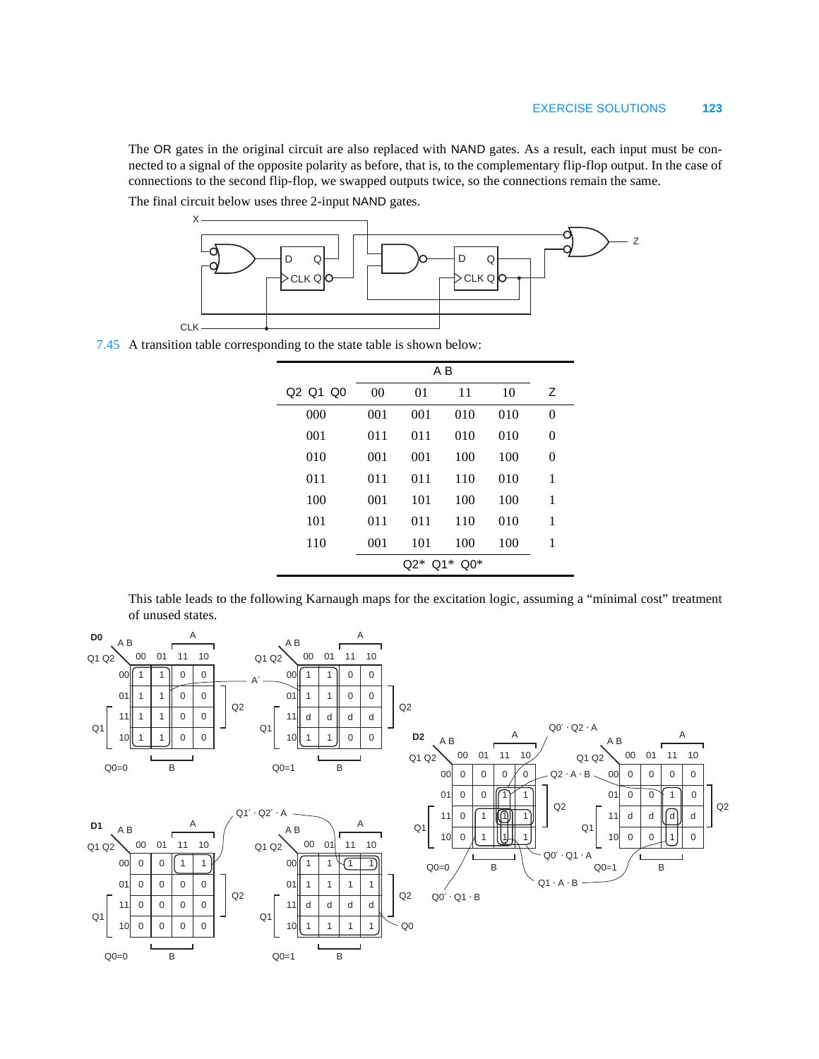Z

The OR gates in the original circuit are also replaced with NAND gates. As a result, each input must be connected to a signal of the opposite polarity as before, that is, to the complementary flip-flop output. In the case of connections to the second flip-flop, we swapped outputs twice, so the connections remain the same. The final circuit below uses three 2-input NAND gates.

D Q CLK Q D Q  $CLK QC$ X

7.45 A transition table corresponding to the state table is shown below:

CLK.

| Q <sub>2</sub> Q <sub>1</sub> Q <sub>0</sub> | 00            | 01  | 11  | 10  | Ζ        |  |  |  |
|----------------------------------------------|---------------|-----|-----|-----|----------|--|--|--|
| 000                                          | 001           | 001 | 010 | 010 | $\theta$ |  |  |  |
| 001                                          | 011           | 011 | 010 | 010 | 0        |  |  |  |
| 010                                          | 001           | 001 | 100 | 100 | 0        |  |  |  |
| 011                                          | 011           | 011 | 110 | 010 | 1        |  |  |  |
| 100                                          | 001           | 101 | 100 | 100 | 1        |  |  |  |
| 101                                          | 011           | 011 | 110 | 010 | 1        |  |  |  |
| 110                                          | 001           | 101 | 100 | 100 | 1        |  |  |  |
|                                              | $Q2* Q1* Q0*$ |     |     |     |          |  |  |  |

This table leads to the following Karnaugh maps for the excitation logic, assuming a "minimal cost" treatment of unused states.

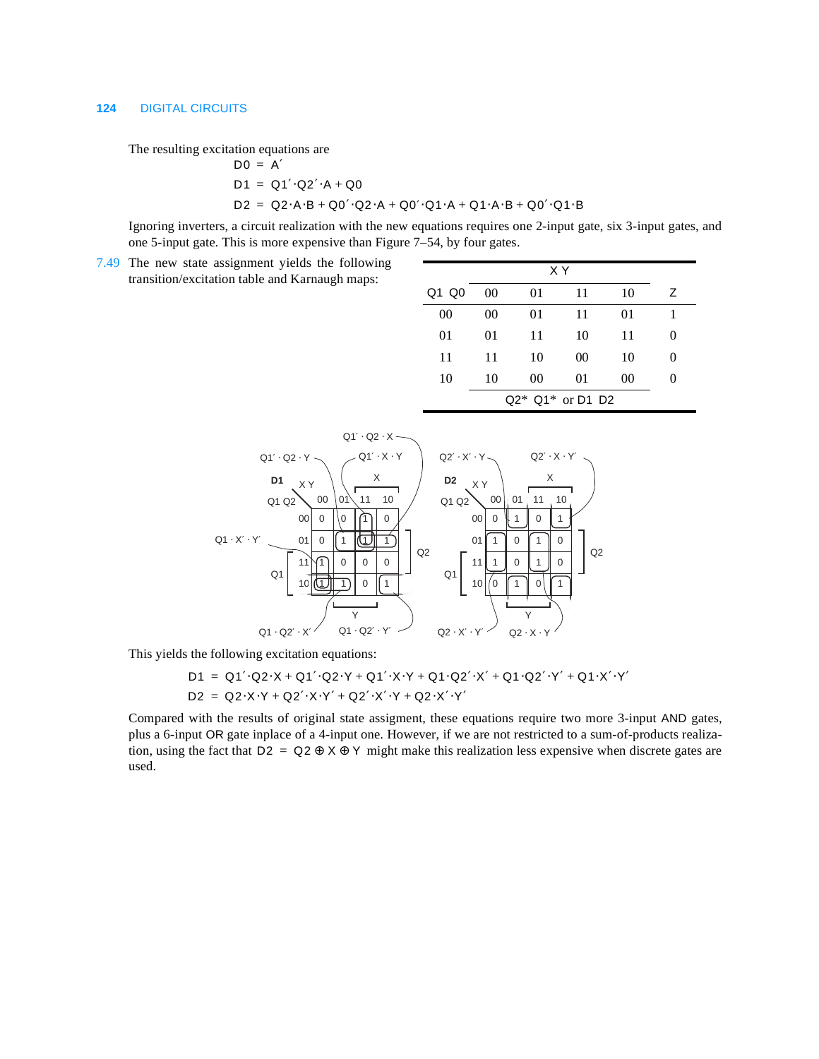#### **124** DIGITAL CIRCUITS

The resulting excitation equations are

$$
D0 = A'
$$
  

$$
D1 = Q1' \cdot Q2' \cdot A + Q0
$$
  

$$
D2 = Q2 \cdot A \cdot B + Q0' \cdot Q2 \cdot A + Q0' \cdot Q1 \cdot A + Q1 \cdot A \cdot B + Q0' \cdot Q1 \cdot B
$$

Ignoring inverters, a circuit realization with the new equations requires one 2-input gate, six 3-input gates, and one 5-input gate. This is more expensive than Figure 7–54, by four gates.

7.49 The new state assignment yields the following transition/excitation table and Karnaugh maps:

| Q1 Q0 | 00 | 01 | 11                 | 10 | Ζ |  |
|-------|----|----|--------------------|----|---|--|
| 00    | 00 | 01 | 11                 | 01 |   |  |
| 01    | 01 | 11 | 10                 | 11 | 0 |  |
| 11    | 11 | 10 | 00                 | 10 | 0 |  |
| 10    | 10 | 00 | 01                 | 00 | 0 |  |
|       |    |    | $Q2* Q1*$ or D1 D2 |    |   |  |



This yields the following excitation equations:

$$
D1 = Q1' \cdot Q2 \cdot X + Q1' \cdot Q2 \cdot Y + Q1' \cdot X \cdot Y + Q1 \cdot Q2' \cdot X' + Q1 \cdot Q2' \cdot Y' + Q1 \cdot X' \cdot Y'
$$
  

$$
D2 = Q2 \cdot X \cdot Y + Q2' \cdot X \cdot Y' + Q2' \cdot X' \cdot Y + Q2 \cdot X' \cdot Y'
$$

Compared with the results of original state assigment, these equations require two more 3-input AND gates, plus a 6-input OR gate inplace of a 4-input one. However, if we are not restricted to a sum-of-products realization, using the fact that  $D2 = Q2 \oplus X \oplus Y$  might make this realization less expensive when discrete gates are used.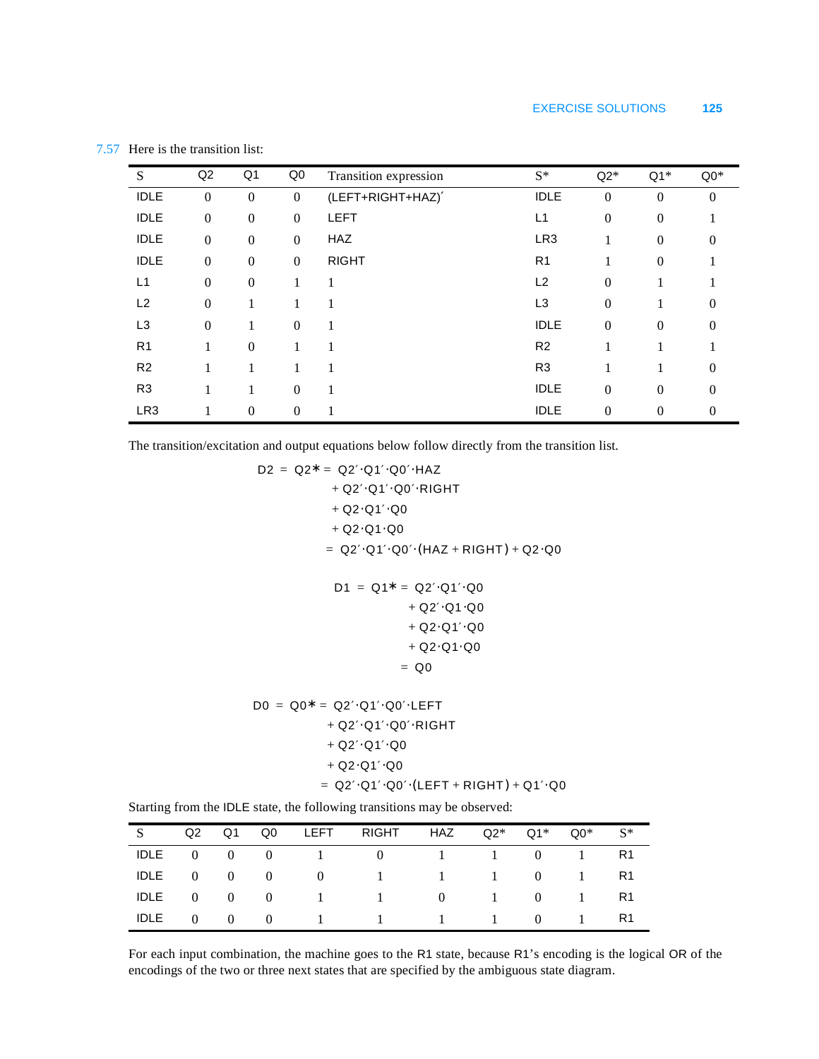| S               | Q2               | Q <sub>1</sub> | Q <sub>0</sub>   | Transition expression | $S^*$          | $Q2*$    | $Q1*$        | $Q0*$            |
|-----------------|------------------|----------------|------------------|-----------------------|----------------|----------|--------------|------------------|
| <b>IDLE</b>     | $\theta$         | $\overline{0}$ | $\mathbf{0}$     | (LEFT+RIGHT+HAZ)'     | <b>IDLE</b>    | $\Omega$ | $\Omega$     | $\boldsymbol{0}$ |
| <b>IDLE</b>     | $\boldsymbol{0}$ | $\theta$       | $\mathbf{0}$     | <b>LEFT</b>           | L1             | $\Omega$ | $\mathbf{0}$ |                  |
| <b>IDLE</b>     | $\boldsymbol{0}$ | $\overline{0}$ | $\Omega$         | <b>HAZ</b>            | LR3            | 1        | $\Omega$     | 0                |
| <b>IDLE</b>     | $\boldsymbol{0}$ | $\overline{0}$ | $\Omega$         | <b>RIGHT</b>          | R <sub>1</sub> |          | $\mathbf{0}$ |                  |
| L <sub>1</sub>  | $\boldsymbol{0}$ | $\theta$       | 1                |                       | L2             | $\Omega$ | 1            |                  |
| L2              | $\theta$         |                |                  | 1                     | L <sub>3</sub> | $\Omega$ | 1            | 0                |
| L <sub>3</sub>  | $\boldsymbol{0}$ |                | $\boldsymbol{0}$ |                       | <b>IDLE</b>    | $\Omega$ | $\Omega$     | $\theta$         |
| R <sub>1</sub>  |                  | $\theta$       |                  |                       | R <sub>2</sub> |          | 1            |                  |
| R <sub>2</sub>  | 1                |                | 1                |                       | R <sub>3</sub> |          | 1            | $\overline{0}$   |
| R <sub>3</sub>  |                  |                | $\boldsymbol{0}$ |                       | <b>IDLE</b>    | $\Omega$ | $\mathbf{0}$ | $\theta$         |
| LR <sub>3</sub> |                  | $\theta$       | $\overline{0}$   |                       | <b>IDLE</b>    | $\theta$ | $\theta$     | $\theta$         |

7.57 Here is the transition list:

The transition/excitation and output equations below follow directly from the transition list.

 $D2 = Q2^* = Q2' \cdot Q1' \cdot Q0' \cdot HAZ$ + Q2'·Q1'·Q0'·RIGHT  $+$  Q2 $\cdot$ Q1 $' \cdot$ Q0  $+$  Q2 $\cdot$ Q1 $\cdot$ Q0  $= Q2' \cdot Q1' \cdot Q0' \cdot (HAZ + RIGHT) + Q2 \cdot Q0$ 

$$
D1 = Q1* = Q2'.Q1'.Q0+ Q2'.Q1.Q0+ Q2.Q1'.Q0+ Q2.Q1.Q0= Q0
$$

 $D0 = Q0^* = Q2' \cdot Q1' \cdot Q0' \cdot LEFT$ + Q2' Q1' Q0' RIGHT  $+$  Q2 $^{\prime}$ · Q1 $^{\prime}$ · Q0  $+$  Q2 $\cdot$ Q1' $\cdot$ Q0

 $=$  Q2' $\cdot$ Q1' $\cdot$ Q0' $\cdot$ (LEFT + RIGHT) + Q1' $\cdot$ Q0

Starting from the IDLE state, the following transitions may be observed:

|  |  | S Q2 Q1 Q0 LEFT RIGHT HAZ $Q2^*$ $Q1^*$ $Q0^*$ $S^*$ |  |  |  |
|--|--|------------------------------------------------------|--|--|--|
|  |  | IDLE 0 0 0 1 0 1 1 0 1 R1                            |  |  |  |
|  |  | IDLE 0 0 0 0 0 1 1 1 0 1 R1                          |  |  |  |
|  |  | IDLE 0 0 0 0 1 1 0 0 1 0 1 R1                        |  |  |  |
|  |  | IDLE 0 0 0 1 1 1 1 0 1 R1                            |  |  |  |

For each input combination, the machine goes to the R1 state, because R1's encoding is the logical OR of the encodings of the two or three next states that are specified by the ambiguous state diagram.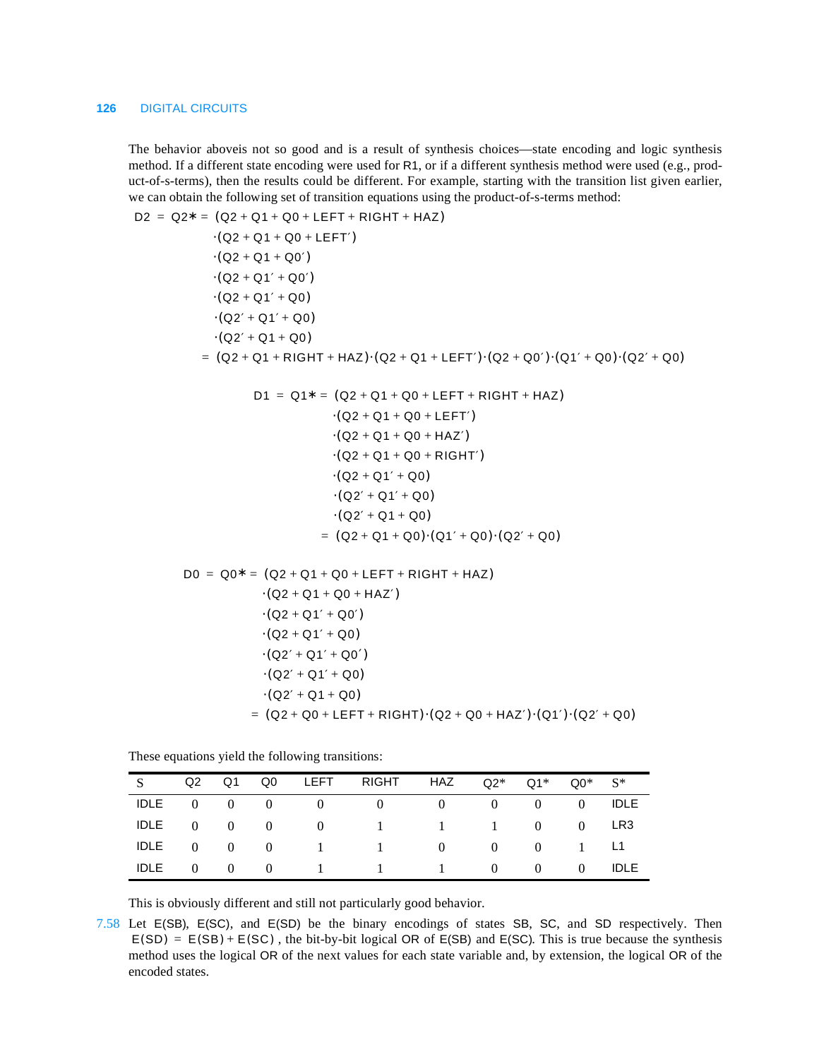#### **126** DIGITAL CIRCUITS

The behavior aboveis not so good and is a result of synthesis choices—state encoding and logic synthesis method. If a different state encoding were used for R1, or if a different synthesis method were used (e.g., product-of-s-terms), then the results could be different. For example, starting with the transition list given earlier, we can obtain the following set of transition equations using the product-of-s-terms method:

 $D2 = Q2^* = (Q2 + Q1 + Q0 + LEFT + RIGHT + HAZ)$  $\cdot ($ Q2 + Q1 + Q0 + LEFT')  $\cdot ($ Q2 + Q1 + Q0')  $\cdot ($ Q2 + Q1' + Q0')  $\cdot ($  Q2 + Q1' + Q0)  $\cdot (Q2' + Q1' + Q0)$  $\cdot (Q2' + Q1 + Q0)$  $= (Q2 + Q1 + RIGHT + HAZ) \cdot (Q2 + Q1 + LEFF') \cdot (Q2 + Q0') \cdot (Q1' + Q0) \cdot (Q2' + Q0)$  $D1 = Q1^* = (Q2 + Q1 + Q0 + LEFT + RIGHT + HAZ)$  $\cdot ($  Q2 + Q1 + Q0 + LEFT')  $\cdot ($  Q2 + Q1 + Q0 + HAZ')  $\cdot ($ Q2 + Q1 + Q0 + RIGHT')  $\cdot ($  Q2 + Q1' + Q0)  $\cdot (Q2' + Q1' + Q0)$  $\cdot (Q2' + Q1 + Q0)$  $= (Q2 + Q1 + Q0) (Q1' + Q0) (Q2' + Q0)$  $D0 = Q0^* = (Q2 + Q1 + Q0 + LEFT + RIGHT + HAZ)$  $\cdot ($ Q2 + Q1 + Q0 + HAZ $')$  $\cdot ($  Q2 + Q1′ + Q0′)  $\cdot ($  Q2 + Q1' + Q0)  $\cdot (Q2' + Q1' + Q0')$  $\cdot ($ Q2′ + Q1′ + Q0)  $\cdot ($  Q2′ + Q1 + Q0)  $= (Q2 + Q0 + LEFT + RIGHT) \cdot (Q2 + Q0 + HAZ') \cdot (Q1') \cdot (Q2' + Q0)$ 

These equations yield the following transitions:

|  |  | S Q2 Q1 Q0 LEFT RIGHT HAZ $Q2^*$ $Q1^*$ $Q0^*$ $S^*$  |  |  |  |
|--|--|-------------------------------------------------------|--|--|--|
|  |  |                                                       |  |  |  |
|  |  | IDLE 0 0 0 0 0 1 1 1 0 0 LR3                          |  |  |  |
|  |  | IDLE 0 0 0 1 1 0 0 0 1 L1                             |  |  |  |
|  |  | IDLE $0 \t 0 \t 0 \t 1 \t 1 \t 1 \t 0 \t 0 \t 0 \t 1$ |  |  |  |

This is obviously different and still not particularly good behavior.

7.58 Let E(SB), E(SC), and E(SD) be the binary encodings of states SB, SC, and SD respectively. Then  $E(SD) = E(SB) + E(SC)$ , the bit-by-bit logical OR of  $E(SB)$  and  $E(SC)$ . This is true because the synthesis method uses the logical OR of the next values for each state variable and, by extension, the logical OR of the encoded states.